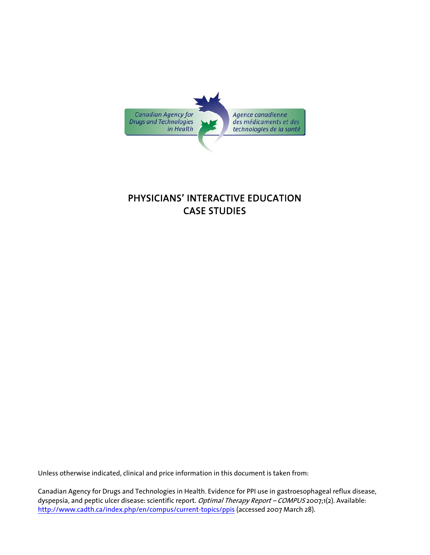

# PHYSICIANS' INTERACTIVE EDUCATION CASE STUDIES

Unless otherwise indicated, clinical and price information in this document is taken from:

Canadian Agency for Drugs and Technologies in Health. Evidence for PPI use in gastroesophageal reflux disease, dyspepsia, and peptic ulcer disease: scientific report. Optimal Therapy Report - COMPUS 2007;1(2). Available: <http://www.cadth.ca/index.php/en/compus/current-topics/ppis>(accessed 2007 March 28).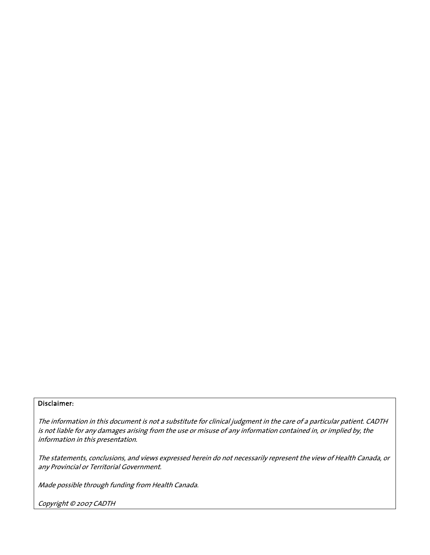#### Disclaimer:

The information in this document is not a substitute for clinical judgment in the care of a particular patient. CADTH is not liable for any damages arising from the use or misuse of any information contained in, or implied by, the information in this presentation.

The statements, conclusions, and views expressed herein do not necessarily represent the view of Health Canada, or any Provincial or Territorial Government.

Made possible through funding from Health Canada.

Copyright © 2007 CADTH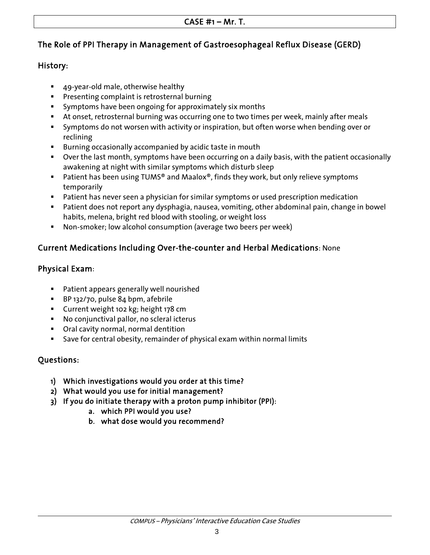## The Role of PPI Therapy in Management of Gastroesophageal Reflux Disease (GERD)

### History:

- 49-year-old male, otherwise healthy
- **Presenting complaint is retrosternal burning**
- **Symptoms have been ongoing for approximately six months**
- At onset, retrosternal burning was occurring one to two times per week, mainly after meals
- Symptoms do not worsen with activity or inspiration, but often worse when bending over or reclining
- **Burning occasionally accompanied by acidic taste in mouth**
- Over the last month, symptoms have been occurring on a daily basis, with the patient occasionally awakening at night with similar symptoms which disturb sleep
- Patient has been using TUMS® and Maalox®, finds they work, but only relieve symptoms temporarily
- Patient has never seen a physician for similar symptoms or used prescription medication
- Patient does not report any dysphagia, nausea, vomiting, other abdominal pain, change in bowel habits, melena, bright red blood with stooling, or weight loss
- Non-smoker; low alcohol consumption (average two beers per week)

## Current Medications Including Over-the-counter and Herbal Medications: None

### Physical Exam:

- **Patient appears generally well nourished**
- BP 132/70, pulse 84 bpm, afebrile
- **Current weight 102 kg; height 178 cm**
- No conjunctival pallor, no scleral icterus
- Oral cavity normal, normal dentition
- Save for central obesity, remainder of physical exam within normal limits

## Questions:

- 1) Which investigations would you order at this time?
- 2) What would you use for initial management?
- 3) If you do initiate therapy with a proton pump inhibitor (PPI):
	- a. which PPI would you use?
	- b. what dose would you recommend?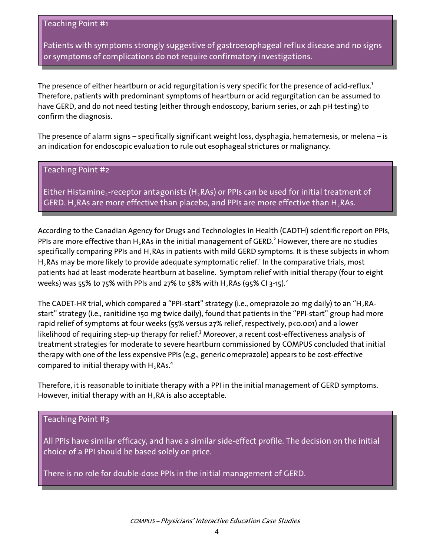Patients with symptoms strongly suggestive of gastroesophageal reflux disease and no signs or symptoms of complications do not require confirmatory investigations.

 $\overline{\phantom{a}}$ 

The presence of either heartburn or acid regurgitation is very specific for the presence of acid-reflux.<sup>1</sup> Therefore, patients with predominant symptoms of heartburn or acid regurgitation can be assumed to have GERD, and do not need testing (either through endoscopy, barium series, or 24h pH testing) to confirm the diagnosis.

The presence of alarm signs – specifically significant weight loss, dysphagia, hematemesis, or melena – is an indication for endoscopic evaluation to rule out esophageal strictures or malignancy.

#### Teaching Point #2

Either Histamine,-receptor antagonists (H, RAs) or PPIs can be used for initial treatment of GERD. H<sub>2</sub>RAs are more effective than placebo, and PPIs are more effective than H<sub>2</sub>RAs.

According to the Canadian Agency for Drugs and Technologies in Health (CADTH) scientific report on PPIs, PPIs are more effective than H<sub>2</sub>RAs in the initial management of GERD.<sup>2</sup> However, there are no studies specifically comparing PPIs and H<sub>2</sub>RAs in patients with mild GERD symptoms. It is these subjects in whom  $H_2$ RAs may be more likely to provide adequate symptomatic relief.<sup>1</sup> In the comparative trials, most patients had at least moderate heartburn at baseline. Symptom relief with initial therapy (four to eight weeks) was 55% to 75% with PPIs and 27% to 58% with H<sub>2</sub>RAs (95% CI 3-15).<sup>2</sup>

The CADET-HR trial, which compared a "PPI-start" strategy (i.e., omeprazole 20 mg daily) to an "H, RAstart" strategy (i.e., ranitidine 150 mg twice daily), found that patients in the "PPI-start" group had more rapid relief of symptoms at four weeks (55% versus 27% relief, respectively, p<0.001) and a lower likelihood of requiring step-up therapy for relief.<sup>3</sup> Moreover, a recent cost-effectiveness analysis of treatment strategies for moderate to severe heartburn commissioned by COMPUS concluded that initial therapy with one of the less expensive PPIs (e.g., generic omeprazole) appears to be cost-effective compared to initial therapy with  $H_2$ RAs.<sup>4</sup>

Therefore, it is reasonable to initiate therapy with a PPI in the initial management of GERD symptoms. However, initial therapy with an H<sub>2</sub>RA is also acceptable.

#### Teaching Point #3

All PPIs have similar efficacy, and have a similar side-effect profile. The decision on the initial choice of a PPI should be based solely on price.

There is no role for double-dose PPIs in the initial management of GERD.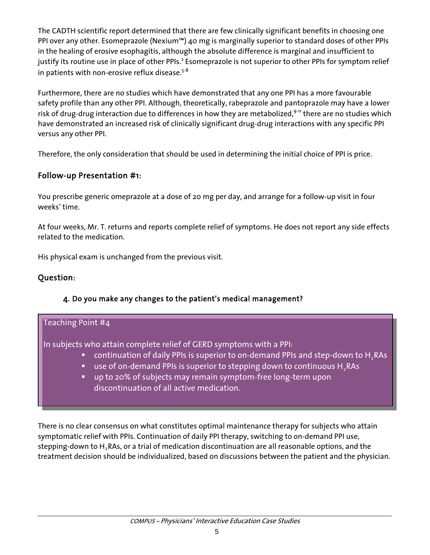The CADTH scientific report determined that there are few clinically significant benefits in choosing one PPI over any other. Esomeprazole (Nexium™) 40 mg is marginally superior to standard doses of other PPIs in the healing of erosive esophagitis, although the absolute difference is marginal and insufficient to justify its routine use in place of other PPIs.<sup>2</sup> Esomeprazole is not superior to other PPIs for symptom relief in patients with non-erosive reflux disease. $5-8$ 

Furthermore, there are no studies which have demonstrated that any one PPI has a more favourable safety profile than any other PPI. Although, theoretically, rabeprazole and pantoprazole may have a lower risk of drug-drug interaction due to differences in how they are metabolized,  $9-11$  there are no studies which have demonstrated an increased risk of clinically significant drug-drug interactions with any specific PPI versus any other PPI.

Therefore, the only consideration that should be used in determining the initial choice of PPI is price.

## Follow-up Presentation #1:

You prescribe generic omeprazole at a dose of 20 mg per day, and arrange for a follow-up visit in four weeks' time.

At four weeks, Mr. T. returns and reports complete relief of symptoms. He does not report any side effects related to the medication.

His physical exam is unchanged from the previous visit.

## Question:

#### 4. Do you make any changes to the patient's medical management?

#### Teaching Point #4

In subjects who attain complete relief of GERD symptoms with a PPI:

- continuation of daily PPIs is superior to on-demand PPIs and step-down to H, RAs
- use of on-demand PPIs is superior to stepping down to continuous H<sub>2</sub>RAs
- up to 20% of subjects may remain symptom-free long-term upon discontinuation of all active medication.

There is no clear consensus on what constitutes optimal maintenance therapy for subjects who attain symptomatic relief with PPIs. Continuation of daily PPI therapy, switching to on-demand PPI use, stepping-down to  $H_2RAs$ , or a trial of medication discontinuation are all reasonable options, and the treatment decision should be individualized, based on discussions between the patient and the physician.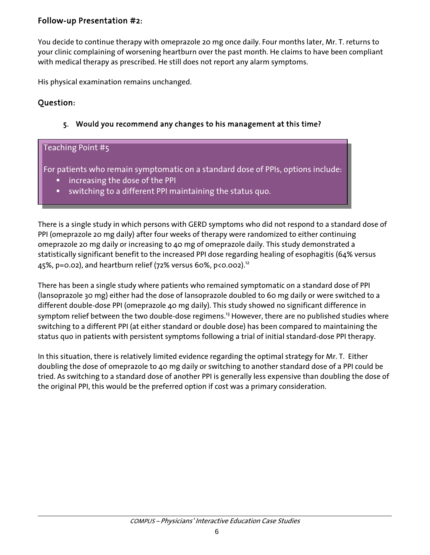## Follow-up Presentation #2:

You decide to continue therapy with omeprazole 20 mg once daily. Four months later, Mr. T. returns to your clinic complaining of worsening heartburn over the past month. He claims to have been compliant with medical therapy as prescribed. He still does not report any alarm symptoms.

His physical examination remains unchanged.

## Question:

### 5. Would you recommend any changes to his management at this time?

## Teaching Point #5

For patients who remain symptomatic on a standard dose of PPIs, options include:

- increasing the dose of the PPI
- switching to a different PPI maintaining the status quo.

There is a single study in which persons with GERD symptoms who did not respond to a standard dose of PPI (omeprazole 20 mg daily) after four weeks of therapy were randomized to either continuing omeprazole 20 mg daily or increasing to 40 mg of omeprazole daily. This study demonstrated a statistically significant benefit to the increased PPI dose regarding healing of esophagitis (64% versus 45%, p=0.02), and heartburn relief (72% versus 60%, p<0.002).<sup>12</sup>

There has been a single study where patients who remained symptomatic on a standard dose of PPI (lansoprazole 30 mg) either had the dose of lansoprazole doubled to 60 mg daily or were switched to a different double-dose PPI (omeprazole 40 mg daily). This study showed no significant difference in symptom relief between the two double-dose regimens.<sup>13</sup> However, there are no published studies where switching to a different PPI (at either standard or double dose) has been compared to maintaining the status quo in patients with persistent symptoms following a trial of initial standard-dose PPI therapy.

In this situation, there is relatively limited evidence regarding the optimal strategy for Mr. T. Either doubling the dose of omeprazole to 40 mg daily or switching to another standard dose of a PPI could be tried. As switching to a standard dose of another PPI is generally less expensive than doubling the dose of the original PPI, this would be the preferred option if cost was a primary consideration.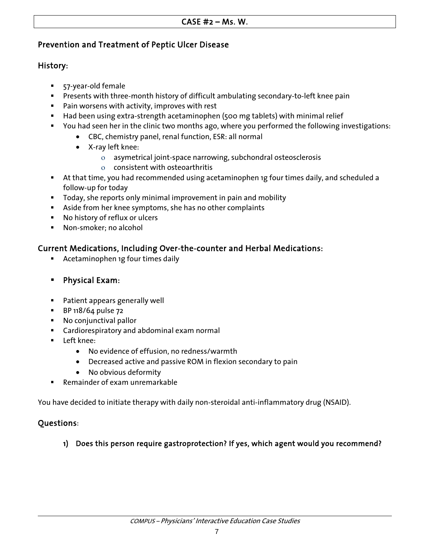### Prevention and Treatment of Peptic Ulcer Disease

#### History:

- 57-year-old female
- **Presents with three-month history of difficult ambulating secondary-to-left knee pain**
- **Pain worsens with activity, improves with rest**
- Had been using extra-strength acetaminophen (500 mg tablets) with minimal relief
- You had seen her in the clinic two months ago, where you performed the following investigations:
	- CBC, chemistry panel, renal function, ESR: all normal
	- X-ray left knee:
		- ο asymetrical joint-space narrowing, subchondral osteosclerosis
		- ο consistent with osteoarthritis
- At that time, you had recommended using acetaminophen 1g four times daily, and scheduled a follow-up for today
- Today, she reports only minimal improvement in pain and mobility
- Aside from her knee symptoms, she has no other complaints
- No history of reflux or ulcers
- Non-smoker; no alcohol

## Current Medications, Including Over-the-counter and Herbal Medications:

- Acetaminophen 1g four times daily
- Physical Exam:
- **Patient appears generally well**
- **BP 118/64 pulse 72**
- **No conjunctival pallor**
- **EXTED Cardiorespiratory and abdominal exam normal**
- **Left knee:** 
	- No evidence of effusion, no redness/warmth
	- Decreased active and passive ROM in flexion secondary to pain
	- No obvious deformity
- Remainder of exam unremarkable

You have decided to initiate therapy with daily non-steroidal anti-inflammatory drug (NSAID).

## Questions:

## 1) Does this person require gastroprotection? If yes, which agent would you recommend?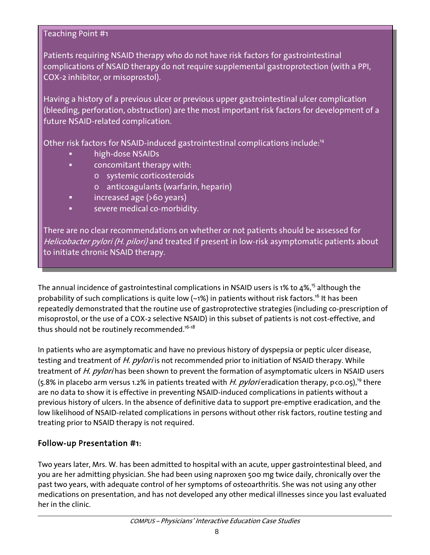Patients requiring NSAID therapy who do not have risk factors for gastrointestinal complications of NSAID therapy do not require supplemental gastroprotection (with a PPI, COX-2 inhibitor, or misoprostol).

Having a history of a previous ulcer or previous upper gastrointestinal ulcer complication (bleeding, perforation, obstruction) are the most important risk factors for development of a future NSAID-related complication.

Other risk factors for NSAID-induced gastrointestinal complications include:<sup>14</sup>

- high-dose NSAIDs
- concomitant therapy with:
	- o systemic corticosteroids
	- o anticoagulants (warfarin, heparin)
- **i** increased age (>60 years)
- severe medical co-morbidity.

There are no clear recommendations on whether or not patients should be assessed for Helicobacter pylori (H. pilori) and treated if present in low-risk asymptomatic patients about to initiate chronic NSAID therapy.

The annual incidence of gastrointestinal complications in NSAID users is 1% to  $4\%$ ,<sup>15</sup> although the probability of such complications is quite low  $(-1%)$  in patients without risk factors.<sup>16</sup> It has been repeatedly demonstrated that the routine use of gastroprotective strategies (including co-prescription of misoprostol, or the use of a COX-2 selective NSAID) in this subset of patients is not cost-effective, and thus should not be routinely recommended.<sup>16-18</sup>

In patients who are asymptomatic and have no previous history of dyspepsia or peptic ulcer disease, testing and treatment of H. pylori is not recommended prior to initiation of NSAID therapy. While treatment of H. pylori has been shown to prevent the formation of asymptomatic ulcers in NSAID users  $(5.8\%$  in placebo arm versus 1.2% in patients treated with H. pylori eradication therapy, p<0.05),<sup>19</sup> there are no data to show it is effective in preventing NSAID-induced complications in patients without a previous history of ulcers. In the absence of definitive data to support pre-emptive eradication, and the low likelihood of NSAID-related complications in persons without other risk factors, routine testing and treating prior to NSAID therapy is not required.

## Follow-up Presentation #1:

Two years later, Mrs. W. has been admitted to hospital with an acute, upper gastrointestinal bleed, and you are her admitting physician. She had been using naproxen 500 mg twice daily, chronically over the past two years, with adequate control of her symptoms of osteoarthritis. She was not using any other medications on presentation, and has not developed any other medical illnesses since you last evaluated her in the clinic.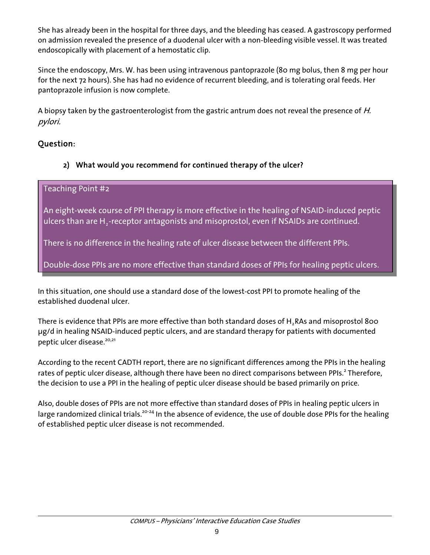She has already been in the hospital for three days, and the bleeding has ceased. A gastroscopy performed on admission revealed the presence of a duodenal ulcer with a non-bleeding visible vessel. It was treated endoscopically with placement of a hemostatic clip.

Since the endoscopy, Mrs. W. has been using intravenous pantoprazole (80 mg bolus, then 8 mg per hour for the next 72 hours). She has had no evidence of recurrent bleeding, and is tolerating oral feeds. Her pantoprazole infusion is now complete.

A biopsy taken by the gastroenterologist from the gastric antrum does not reveal the presence of H. pylori.

## Question:

## 2) What would you recommend for continued therapy of the ulcer?

## Teaching Point #2

An eight-week course of PPI therapy is more effective in the healing of NSAID-induced peptic ulcers than are H<sub>2</sub>-receptor antagonists and misoprostol, even if NSAIDs are continued.

There is no difference in the healing rate of ulcer disease between the different PPIs.

Double-dose PPIs are no more effective than standard doses of PPIs for healing peptic ulcers.

In this situation, one should use a standard dose of the lowest-cost PPI to promote healing of the established duodenal ulcer.

There is evidence that PPIs are more effective than both standard doses of H<sub>2</sub>RAs and misoprostol 800 μg/d in healing NSAID-induced peptic ulcers, and are standard therapy for patients with documented peptic ulcer disease.<sup>20,21</sup>

According to the recent CADTH report, there are no significant differences among the PPIs in the healing rates of peptic ulcer disease, although there have been no direct comparisons between PPIs.<sup>2</sup> Therefore, the decision to use a PPI in the healing of peptic ulcer disease should be based primarily on price.

Also, double doses of PPIs are not more effective than standard doses of PPIs in healing peptic ulcers in large randomized clinical trials.<sup>20-24</sup> In the absence of evidence, the use of double dose PPIs for the healing of established peptic ulcer disease is not recommended.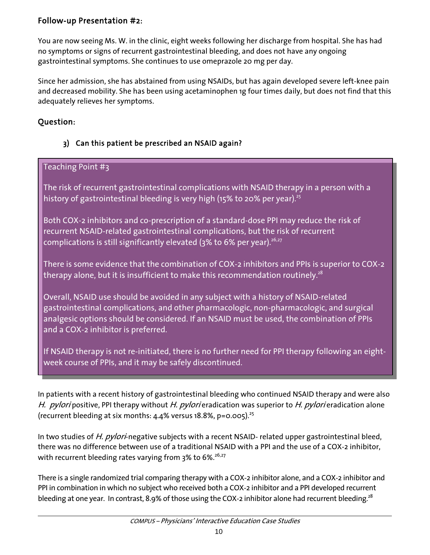## Follow-up Presentation #2:

You are now seeing Ms. W. in the clinic, eight weeks following her discharge from hospital. She has had no symptoms or signs of recurrent gastrointestinal bleeding, and does not have any ongoing gastrointestinal symptoms. She continues to use omeprazole 20 mg per day.

Since her admission, she has abstained from using NSAIDs, but has again developed severe left-knee pain and decreased mobility. She has been using acetaminophen 1g four times daily, but does not find that this adequately relieves her symptoms.

## Question:

## 3) Can this patient be prescribed an NSAID again?

## Teaching Point #3

The risk of recurrent gastrointestinal complications with NSAID therapy in a person with a history of gastrointestinal bleeding is very high (15% to 20% per year).<sup>25</sup>

Both COX-2 inhibitors and co-prescription of a standard-dose PPI may reduce the risk of recurrent NSAID-related gastrointestinal complications, but the risk of recurrent complications is still significantly elevated ( $3\%$  to 6% per year).<sup>26,27</sup>

There is some evidence that the combination of COX-2 inhibitors and PPIs is superior to COX-2 therapy alone, but it is insufficient to make this recommendation routinely.<sup>28</sup>

Overall, NSAID use should be avoided in any subject with a history of NSAID-related gastrointestinal complications, and other pharmacologic, non-pharmacologic, and surgical analgesic options should be considered. If an NSAID must be used, the combination of PPIs and a COX-2 inhibitor is preferred.

If NSAID therapy is not re-initiated, there is no further need for PPI therapy following an eightweek course of PPIs, and it may be safely discontinued.

In patients with a recent history of gastrointestinal bleeding who continued NSAID therapy and were also H. *pylori* positive, PPI therapy without H. *pylori* eradication was superior to H. *pylori* eradication alone (recurrent bleeding at six months:  $4.4\%$  versus 18.8%, p=0.005).<sup>25</sup>

In two studies of H. pylori-negative subjects with a recent NSAID- related upper gastrointestinal bleed, there was no difference between use of a traditional NSAID with a PPI and the use of a COX-2 inhibitor, with recurrent bleeding rates varying from 3% to 6%.<sup>26,27</sup>

There is a single randomized trial comparing therapy with a COX-2 inhibitor alone, and a COX-2 inhibitor and PPI in combination in which no subject who received both a COX-2 inhibitor and a PPI developed recurrent bleeding at one year. In contrast, 8.9% of those using the COX-2 inhibitor alone had recurrent bleeding.<sup>28</sup>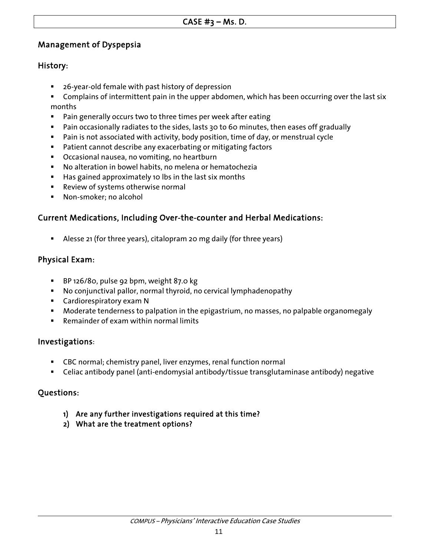## Management of Dyspepsia

## History:

- 26-year-old female with past history of depression
- Complains of intermittent pain in the upper abdomen, which has been occurring over the last six months
- **Pain generally occurs two to three times per week after eating**
- Pain occasionally radiates to the sides, lasts 30 to 60 minutes, then eases off gradually
- Pain is not associated with activity, body position, time of day, or menstrual cycle
- **Patient cannot describe any exacerbating or mitigating factors**
- Occasional nausea, no vomiting, no heartburn
- No alteration in bowel habits, no melena or hematochezia
- **Has gained approximately 10 lbs in the last six months**
- Review of systems otherwise normal
- **Non-smoker; no alcohol**

## Current Medications, Including Over-the-counter and Herbal Medications:

Alesse 21 (for three years), citalopram 20 mg daily (for three years)

### Physical Exam:

- BP 126/80, pulse 92 bpm, weight 87.0 kg
- No conjunctival pallor, normal thyroid, no cervical lymphadenopathy
- **EXEC** Cardiorespiratory exam N
- Moderate tenderness to palpation in the epigastrium, no masses, no palpable organomegaly
- Remainder of exam within normal limits

## Investigations:

- CBC normal; chemistry panel, liver enzymes, renal function normal
- Celiac antibody panel (anti-endomysial antibody/tissue transglutaminase antibody) negative

## Questions:

- 1) Are any further investigations required at this time?
- 2) What are the treatment options?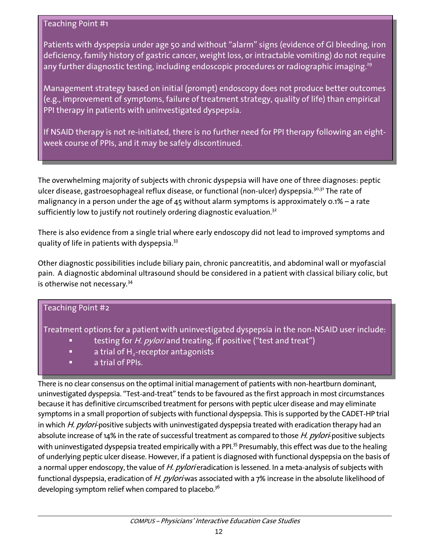Patients with dyspepsia under age 50 and without "alarm" signs (evidence of GI bleeding, iron deficiency, family history of gastric cancer, weight loss, or intractable vomiting) do not require any further diagnostic testing, including endoscopic procedures or radiographic imaging.<sup>29</sup>

Management strategy based on initial (prompt) endoscopy does not produce better outcomes (e.g., improvement of symptoms, failure of treatment strategy, quality of life) than empirical PPI therapy in patients with uninvestigated dyspepsia.

If NSAID therapy is not re-initiated, there is no further need for PPI therapy following an eightweek course of PPIs, and it may be safely discontinued.

The overwhelming majority of subjects with chronic dyspepsia will have one of three diagnoses: peptic ulcer disease, gastroesophageal reflux disease, or functional (non-ulcer) dyspepsia.<sup>30,31</sup> The rate of malignancy in a person under the age of 45 without alarm symptoms is approximately 0.1% – a rate sufficiently low to justify not routinely ordering diagnostic evaluation. $32$ 

There is also evidence from a single trial where early endoscopy did not lead to improved symptoms and quality of life in patients with dyspepsia.<sup>33</sup>

Other diagnostic possibilities include biliary pain, chronic pancreatitis, and abdominal wall or myofascial pain. A diagnostic abdominal ultrasound should be considered in a patient with classical biliary colic, but is otherwise not necessary.<sup>34</sup>

| <b>Teaching Point #2</b>                                                                     |
|----------------------------------------------------------------------------------------------|
| Treatment options for a patient with uninvestigated dyspepsia in the non-NSAID user include: |

- testing for *H. pylori* and treating, if positive ("test and treat")
- a trial of H<sub>2</sub>-receptor antagonists
- a trial of PPIs.

 There is no clear consensus on the optimal initial management of patients with non-heartburn dominant, uninvestigated dyspepsia. "Test-and-treat" tends to be favoured as the first approach in most circumstances because it has definitive circumscribed treatment for persons with peptic ulcer disease and may eliminate symptoms in a small proportion of subjects with functional dyspepsia. This is supported by the CADET-HP trial in which H. pylori-positive subjects with uninvestigated dyspepsia treated with eradication therapy had an absolute increase of 14% in the rate of successful treatment as compared to those H. pylori-positive subjects with uninvestigated dyspepsia treated empirically with a PPI.<sup>35</sup> Presumably, this effect was due to the healing of underlying peptic ulcer disease. However, if a patient is diagnosed with functional dyspepsia on the basis of a normal upper endoscopy, the value of H. pylori eradication is lessened. In a meta-analysis of subjects with functional dyspepsia, eradication of H. pyloriwas associated with a 7% increase in the absolute likelihood of developing symptom relief when compared to placebo.<sup>36</sup>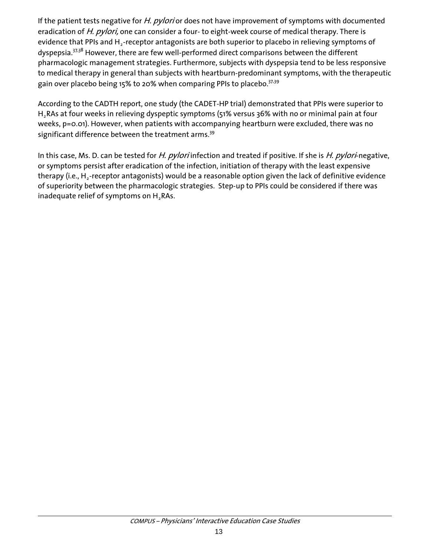If the patient tests negative for H. pylori or does not have improvement of symptoms with documented eradication of H. pylori, one can consider a four- to eight-week course of medical therapy. There is evidence that PPIs and  $H_2$ -receptor antagonists are both superior to placebo in relieving symptoms of dyspepsia.<sup>37,38</sup> However, there are few well-performed direct comparisons between the different pharmacologic management strategies. Furthermore, subjects with dyspepsia tend to be less responsive to medical therapy in general than subjects with heartburn-predominant symptoms, with the therapeutic gain over placebo being 15% to 20% when comparing PPIs to placebo.<sup>37,39</sup>

According to the CADTH report, one study (the CADET-HP trial) demonstrated that PPIs were superior to H<sub>2</sub>RAs at four weeks in relieving dyspeptic symptoms (51% versus 36% with no or minimal pain at four weeks, p=0.01). However, when patients with accompanying heartburn were excluded, there was no significant difference between the treatment arms.<sup>39</sup>

In this case, Ms. D. can be tested for H. pylori infection and treated if positive. If she is H. pylori-negative, or symptoms persist after eradication of the infection, initiation of therapy with the least expensive therapy (i.e.,  $H_2$ -receptor antagonists) would be a reasonable option given the lack of definitive evidence of superiority between the pharmacologic strategies. Step-up to PPIs could be considered if there was inadequate relief of symptoms on  $H_2RAs$ .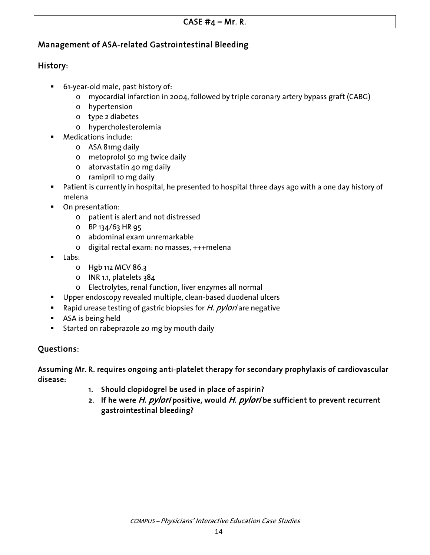## Management of ASA-related Gastrointestinal Bleeding

## History:

- 61-year-old male, past history of:
	- o myocardial infarction in 2004, followed by triple coronary artery bypass graft (CABG)
	- o hypertension
	- o type 2 diabetes
	- o hypercholesterolemia
- Medications include:
	- o ASA 81mg daily
	- o metoprolol 50 mg twice daily
	- o atorvastatin 40 mg daily
	- o ramipril 10 mg daily
- Patient is currently in hospital, he presented to hospital three days ago with a one day history of melena
- On presentation:
	- o patient is alert and not distressed
	- o BP 134/63 HR 95
	- o abdominal exam unremarkable
	- o digital rectal exam: no masses, +++melena
- Labs:
	- o Hgb 112 MCV 86.3
	- o INR 1.1, platelets 384
	- o Electrolytes, renal function, liver enzymes all normal
- **Upper endoscopy revealed multiple, clean-based duodenal ulcers**
- Rapid urease testing of gastric biopsies for  $H.$  pylori are negative
- **ASA** is being held
- Started on rabeprazole 20 mg by mouth daily

## Questions:

Assuming Mr. R. requires ongoing anti-platelet therapy for secondary prophylaxis of cardiovascular disease:

- 1. Should clopidogrel be used in place of aspirin?
- 2. If he were H. pylori positive, would H. pylori be sufficient to prevent recurrent gastrointestinal bleeding?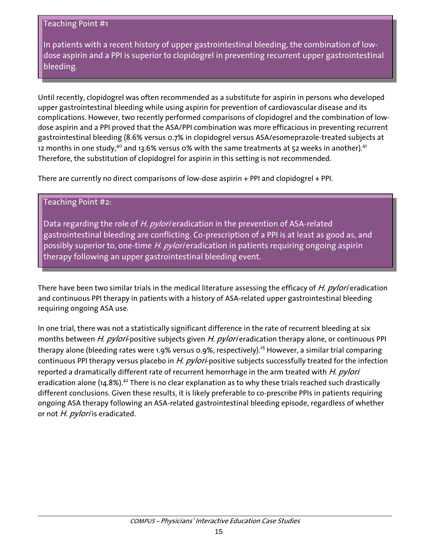In patients with a recent history of upper gastrointestinal bleeding, the combination of lowdose aspirin and a PPI is superior to clopidogrel in preventing recurrent upper gastrointestinal bleeding.

Until recently, clopidogrel was often recommended as a substitute for aspirin in persons who developed upper gastrointestinal bleeding while using aspirin for prevention of cardiovascular disease and its complications. However, two recently performed comparisons of clopidogrel and the combination of lowdose aspirin and a PPI proved that the ASA/PPI combination was more efficacious in preventing recurrent gastrointestinal bleeding (8.6% versus 0.7% in clopidogrel versus ASA/esomeprazole-treated subjects at 12 months in one study, $^{4\circ}$  and 13.6% versus 0% with the same treatments at 52 weeks in another). $^{41}$ Therefore, the substitution of clopidogrel for aspirin in this setting is not recommended.

There are currently no direct comparisons of low-dose aspirin + PPI and clopidogrel + PPI.

### Teaching Point #2:

Data regarding the role of H. pylori eradication in the prevention of ASA-related gastrointestinal bleeding are conflicting. Co-prescription of a PPI is at least as good as, and possibly superior to, one-time H. pylori eradication in patients requiring ongoing aspirin therapy following an upper gastrointestinal bleeding event.

There have been two similar trials in the medical literature assessing the efficacy of *H. pylori* eradication and continuous PPI therapy in patients with a history of ASA-related upper gastrointestinal bleeding requiring ongoing ASA use.

In one trial, there was not a statistically significant difference in the rate of recurrent bleeding at six months between H. pylori-positive subjects given H. pylori eradication therapy alone, or continuous PPI therapy alone (bleeding rates were 1.9% versus 0.9%, respectively).<sup>25</sup> However, a similar trial comparing continuous PPI therapy versus placebo in H. pylori-positive subjects successfully treated for the infection reported a dramatically different rate of recurrent hemorrhage in the arm treated with H. pylori eradication alone (14.8%).<sup>42</sup> There is no clear explanation as to why these trials reached such drastically different conclusions. Given these results, it is likely preferable to co-prescribe PPIs in patients requiring ongoing ASA therapy following an ASA-related gastrointestinal bleeding episode, regardless of whether or not H. pylori is eradicated.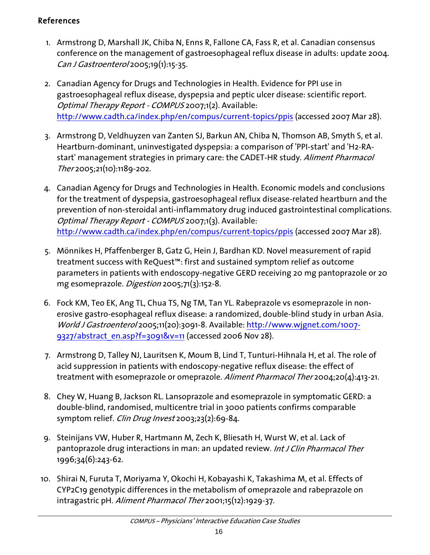## References

- 1. Armstrong D, Marshall JK, Chiba N, Enns R, Fallone CA, Fass R, et al. Canadian consensus conference on the management of gastroesophageal reflux disease in adults: update 2004. Can J Gastroenterol 2005;19(1):15-35.
- 2. Canadian Agency for Drugs and Technologies in Health. Evidence for PPI use in gastroesophageal reflux disease, dyspepsia and peptic ulcer disease: scientific report. Optimal Therapy Report - COMPUS 2007;1(2). Available: <http://www.cadth.ca/index.php/en/compus/current-topics/ppis>(accessed 2007 Mar 28).
- 3. Armstrong D, Veldhuyzen van Zanten SJ, Barkun AN, Chiba N, Thomson AB, Smyth S, et al. Heartburn-dominant, uninvestigated dyspepsia: a comparison of 'PPI-start' and 'H2-RAstart' management strategies in primary care: the CADET-HR study. Aliment Pharmacol Ther 2005;21(10):1189-202.
- 4. Canadian Agency for Drugs and Technologies in Health. Economic models and conclusions for the treatment of dyspepsia, gastroesophageal reflux disease-related heartburn and the prevention of non-steroidal anti-inflammatory drug induced gastrointestinal complications. Optimal Therapy Report - COMPUS 2007;1(3). Available: <http://www.cadth.ca/index.php/en/compus/current-topics/ppis>(accessed 2007 Mar 28).
- 5. Mönnikes H, Pfaffenberger B, Gatz G, Hein J, Bardhan KD. Novel measurement of rapid treatment success with ReQuest™: first and sustained symptom relief as outcome parameters in patients with endoscopy-negative GERD receiving 20 mg pantoprazole or 20 mg esomeprazole. Digestion 2005;71(3):152-8.
- 6. Fock KM, Teo EK, Ang TL, Chua TS, Ng TM, Tan YL. Rabeprazole vs esomeprazole in nonerosive gastro-esophageal reflux disease: a randomized, double-blind study in urban Asia. World J Gastroenterol 2005;11(20):3091-8. Available: [http://www.wjgnet.com/1007-](http://www.wjgnet.com/1007-9327/abstract_en.asp?f=3091&v=11) [9327/abstract\\_en.asp?f=3091&v=11](http://www.wjgnet.com/1007-9327/abstract_en.asp?f=3091&v=11) (accessed 2006 Nov 28).
- 7. Armstrong D, Talley NJ, Lauritsen K, Moum B, Lind T, Tunturi-Hihnala H, et al. The role of acid suppression in patients with endoscopy-negative reflux disease: the effect of treatment with esomeprazole or omeprazole. Aliment Pharmacol Ther 2004;20(4):413-21.
- 8. Chey W, Huang B, Jackson RL. Lansoprazole and esomeprazole in symptomatic GERD: a double-blind, randomised, multicentre trial in 3000 patients confirms comparable symptom relief. Clin Drug Invest 2003;23(2):69-84.
- 9. Steinijans VW, Huber R, Hartmann M, Zech K, Bliesath H, Wurst W, et al. Lack of pantoprazole drug interactions in man: an updated review. Int J Clin Pharmacol Ther 1996;34(6):243-62.
- 10. Shirai N, Furuta T, Moriyama Y, Okochi H, Kobayashi K, Takashima M, et al. Effects of CYP2C19 genotypic differences in the metabolism of omeprazole and rabeprazole on intragastric pH. Aliment Pharmacol Ther 2001;15(12):1929-37.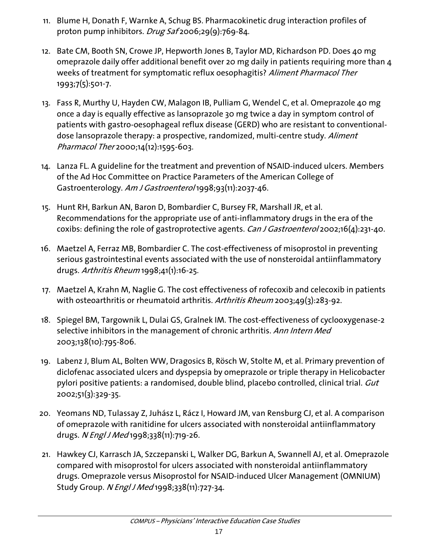- 11. Blume H, Donath F, Warnke A, Schug BS. Pharmacokinetic drug interaction profiles of proton pump inhibitors. Drug Saf 2006;29(9):769-84.
- 12. Bate CM, Booth SN, Crowe JP, Hepworth Jones B, Taylor MD, Richardson PD. Does 40 mg omeprazole daily offer additional benefit over 20 mg daily in patients requiring more than 4 weeks of treatment for symptomatic reflux oesophagitis? Aliment Pharmacol Ther 1993;7(5):501-7.
- 13. Fass R, Murthy U, Hayden CW, Malagon IB, Pulliam G, Wendel C, et al. Omeprazole 40 mg once a day is equally effective as lansoprazole 30 mg twice a day in symptom control of patients with gastro-oesophageal reflux disease (GERD) who are resistant to conventionaldose lansoprazole therapy: a prospective, randomized, multi-centre study. Aliment Pharmacol Ther 2000;14(12):1595-603.
- 14. Lanza FL. A guideline for the treatment and prevention of NSAID-induced ulcers. Members of the Ad Hoc Committee on Practice Parameters of the American College of Gastroenterology. Am J Gastroentero/1998;93(11):2037-46.
- 15. Hunt RH, Barkun AN, Baron D, Bombardier C, Bursey FR, Marshall JR, et al. Recommendations for the appropriate use of anti-inflammatory drugs in the era of the coxibs: defining the role of gastroprotective agents. Can J Gastroenterol 2002;16(4):231-40.
- 16. Maetzel A, Ferraz MB, Bombardier C. The cost-effectiveness of misoprostol in preventing serious gastrointestinal events associated with the use of nonsteroidal antiinflammatory drugs. Arthritis Rheum 1998;41(1):16-25.
- 17. Maetzel A, Krahn M, Naglie G. The cost effectiveness of rofecoxib and celecoxib in patients with osteoarthritis or rheumatoid arthritis. Arthritis Rheum 2003;49(3):283-92.
- 18. Spiegel BM, Targownik L, Dulai GS, Gralnek IM. The cost-effectiveness of cyclooxygenase-2 selective inhibitors in the management of chronic arthritis. Ann Intern Med 2003;138(10):795-806.
- 19. Labenz J, Blum AL, Bolten WW, Dragosics B, Rösch W, Stolte M, et al. Primary prevention of diclofenac associated ulcers and dyspepsia by omeprazole or triple therapy in Helicobacter pylori positive patients: a randomised, double blind, placebo controlled, clinical trial. Gut 2002;51(3):329-35.
- 20. Yeomans ND, Tulassay Z, Juhász L, Rácz I, Howard JM, van Rensburg CJ, et al. A comparison of omeprazole with ranitidine for ulcers associated with nonsteroidal antiinflammatory drugs. N Engl J Med 1998;338(11):719-26.
- 21. Hawkey CJ, Karrasch JA, Szczepanski L, Walker DG, Barkun A, Swannell AJ, et al. Omeprazole compared with misoprostol for ulcers associated with nonsteroidal antiinflammatory drugs. Omeprazole versus Misoprostol for NSAID-induced Ulcer Management (OMNIUM) Study Group. N Engl J Med 1998;338(11):727-34.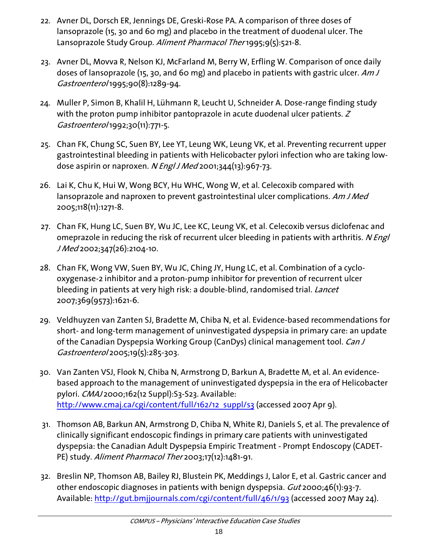- 22. Avner DL, Dorsch ER, Jennings DE, Greski-Rose PA. A comparison of three doses of lansoprazole (15, 30 and 60 mg) and placebo in the treatment of duodenal ulcer. The Lansoprazole Study Group. Aliment Pharmacol Ther 1995;9(5):521-8.
- 23. Avner DL, Movva R, Nelson KJ, McFarland M, Berry W, Erfling W. Comparison of once daily doses of lansoprazole (15, 30, and 60 mg) and placebo in patients with gastric ulcer. Am J Gastroenterol 1995;90(8):1289-94.
- 24. Muller P, Simon B, Khalil H, Lühmann R, Leucht U, Schneider A. Dose-range finding study with the proton pump inhibitor pantoprazole in acute duodenal ulcer patients. Z Gastroenterol 1992;30(11):771-5.
- 25. Chan FK, Chung SC, Suen BY, Lee YT, Leung WK, Leung VK, et al. Preventing recurrent upper gastrointestinal bleeding in patients with Helicobacter pylori infection who are taking lowdose aspirin or naproxen. N *Engl J Med* 2001;344(13):967-73.
- 26. Lai K, Chu K, Hui W, Wong BCY, Hu WHC, Wong W, et al. Celecoxib compared with lansoprazole and naproxen to prevent gastrointestinal ulcer complications. Am J Med 2005;118(11):1271-8.
- 27. Chan FK, Hung LC, Suen BY, Wu JC, Lee KC, Leung VK, et al. Celecoxib versus diclofenac and omeprazole in reducing the risk of recurrent ulcer bleeding in patients with arthritis. N Engl J Med 2002;347(26):2104-10.
- 28. Chan FK, Wong VW, Suen BY, Wu JC, Ching JY, Hung LC, et al. Combination of a cyclooxygenase-2 inhibitor and a proton-pump inhibitor for prevention of recurrent ulcer bleeding in patients at very high risk: a double-blind, randomised trial. Lancet 2007;369(9573):1621-6.
- 29. Veldhuyzen van Zanten SJ, Bradette M, Chiba N, et al. Evidence-based recommendations for short- and long-term management of uninvestigated dyspepsia in primary care: an update of the Canadian Dyspepsia Working Group (CanDys) clinical management tool. Can J Gastroenterol 2005;19(5):285-303.
- 30. Van Zanten VSJ, Flook N, Chiba N, Armstrong D, Barkun A, Bradette M, et al. An evidencebased approach to the management of uninvestigated dyspepsia in the era of Helicobacter pylori. CMAJ 2000;162(12 Suppl): S3-S23. Available: [http://www.cmaj.ca/cgi/content/full/162/12\\_suppl/s3](http://www.cmaj.ca/cgi/content/full/162/12_suppl/s3) (accessed 2007 Apr 9).
- 31. Thomson AB, Barkun AN, Armstrong D, Chiba N, White RJ, Daniels S, et al. The prevalence of clinically significant endoscopic findings in primary care patients with uninvestigated dyspepsia: the Canadian Adult Dyspepsia Empiric Treatment - Prompt Endoscopy (CADET-PE) study. Aliment Pharmacol Ther 2003;17(12):1481-91.
- 32. Breslin NP, Thomson AB, Bailey RJ, Blustein PK, Meddings J, Lalor E, et al. Gastric cancer and other endoscopic diagnoses in patients with benign dyspepsia. *Gut* 2000;46(1):93-7. Available: <http://gut.bmjjournals.com/cgi/content/full/46/1/93>(accessed 2007 May 24).